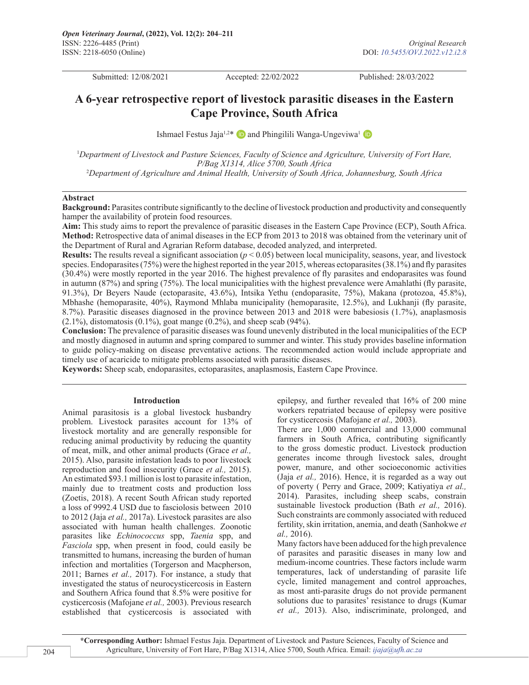Submitted: 12/08/2021 Accepted: 22/02/2022 Published: 28/03/2022

# **A 6-year retrospective report of livestock parasitic diseases in the Eastern Cape Province, South Africa**

IshmaelFestus Jaja<sup>1,2\*</sup> **D** and Phingilili Wanga-Ungeviwa<sup>1</sup> **D** 

<sup>1</sup>Department of Livestock and Pasture Sciences, Faculty of Science and Agriculture, University of Fort Hare, *P/Bag X1314, Alice 5700, South Africa* 2 *Department of Agriculture and Animal Health, University of South Africa, Johannesburg, South Africa*

# **Abstract**

**Background:** Parasites contribute significantly to the decline of livestock production and productivity and consequently hamper the availability of protein food resources.

**Aim:** This study aims to report the prevalence of parasitic diseases in the Eastern Cape Province (ECP), South Africa. **Method:** Retrospective data of animal diseases in the ECP from 2013 to 2018 was obtained from the veterinary unit of the Department of Rural and Agrarian Reform database, decoded analyzed, and interpreted.

**Results:** The results reveal a significant association ( $p < 0.05$ ) between local municipality, seasons, year, and livestock species. Endoparasites (75%) were the highest reported in the year 2015, whereas ectoparasites (38.1%) and fly parasites (30.4%) were mostly reported in the year 2016. The highest prevalence of fly parasites and endoparasites was found in autumn (87%) and spring (75%). The local municipalities with the highest prevalence were Amahlathi (fly parasite, 91.3%), Dr Beyers Naude (ectoparasite, 43.6%), Intsika Yethu (endoparasite, 75%), Makana (protozoa, 45.8%), Mbhashe (hemoparasite, 40%), Raymond Mhlaba municipality (hemoparasite, 12.5%), and Lukhanji (fly parasite, 8.7%). Parasitic diseases diagnosed in the province between 2013 and 2018 were babesiosis (1.7%), anaplasmosis  $(2.1\%)$ , distomatosis  $(0.1\%)$ , goat mange  $(0.2\%)$ , and sheep scab  $(94\%)$ .

**Conclusion:** The prevalence of parasitic diseases was found unevenly distributed in the local municipalities of the ECP and mostly diagnosed in autumn and spring compared to summer and winter. This study provides baseline information to guide policy-making on disease preventative actions. The recommended action would include appropriate and timely use of acaricide to mitigate problems associated with parasitic diseases.

**Keywords:** Sheep scab, endoparasites, ectoparasites, anaplasmosis, Eastern Cape Province.

### **Introduction**

Animal parasitosis is a global livestock husbandry problem. Livestock parasites account for 13% of livestock mortality and are generally responsible for reducing animal productivity by reducing the quantity of meat, milk, and other animal products (Grace *et al.,* 2015). Also, parasite infestation leads to poor livestock reproduction and food insecurity (Grace *et al.,* 2015). An estimated \$93.1 million is lost to parasite infestation, mainly due to treatment costs and production loss (Zoetis, 2018). A recent South African study reported a loss of 9992.4 USD due to fasciolosis between 2010 to 2012 (Jaja *et al.,* 2017a). Livestock parasites are also associated with human health challenges. Zoonotic parasites like *Echinococcus* spp, *Taenia* spp, and *Fasciola* spp, when present in food, could easily be transmitted to humans, increasing the burden of human infection and mortalities (Torgerson and Macpherson, 2011; Barnes *et al.,* 2017). For instance, a study that investigated the status of neurocysticercosis in Eastern and Southern Africa found that 8.5% were positive for cysticercosis (Mafojane *et al.,* 2003). Previous research established that cysticercosis is associated with

epilepsy, and further revealed that 16% of 200 mine workers repatriated because of epilepsy were positive for cysticercosis (Mafojane *et al.,* 2003).

There are 1,000 commercial and 13,000 communal farmers in South Africa, contributing significantly to the gross domestic product. Livestock production generates income through livestock sales, drought power, manure, and other socioeconomic activities (Jaja *et al.,* 2016). Hence, it is regarded as a way out of poverty ( Perry and Grace, 2009; Katiyatiya *et al.,* 2014). Parasites, including sheep scabs, constrain sustainable livestock production (Bath *et al.,* 2016). Such constraints are commonly associated with reduced fertility, skin irritation, anemia, and death (Sanhokwe *et al.,* 2016).

Many factors have been adduced for the high prevalence of parasites and parasitic diseases in many low and medium-income countries. These factors include warm temperatures, lack of understanding of parasite life cycle, limited management and control approaches, as most anti-parasite drugs do not provide permanent solutions due to parasites' resistance to drugs (Kumar *et al.,* 2013). Also, indiscriminate, prolonged, and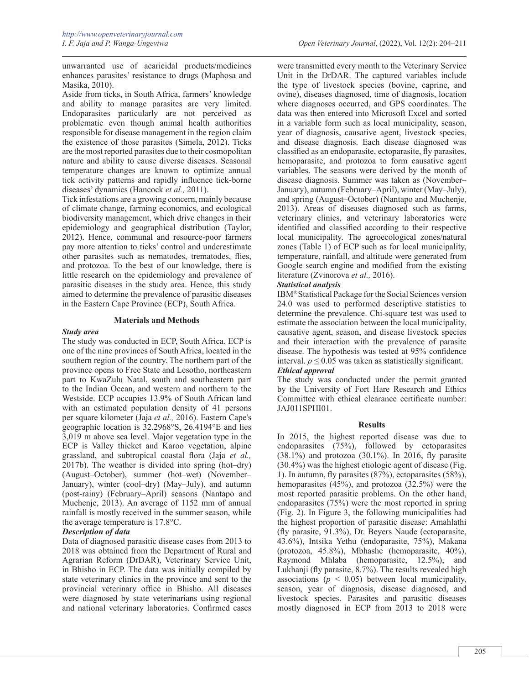unwarranted use of acaricidal products/medicines enhances parasites' resistance to drugs (Maphosa and Masika, 2010).

Aside from ticks, in South Africa, farmers' knowledge and ability to manage parasites are very limited. Endoparasites particularly are not perceived as problematic even though animal health authorities responsible for disease management in the region claim the existence of those parasites (Simela, 2012). Ticks are the most reported parasites due to their cosmopolitan nature and ability to cause diverse diseases. Seasonal temperature changes are known to optimize annual tick activity patterns and rapidly influence tick-borne diseases' dynamics (Hancock *et al.,* 2011).

Tick infestations are a growing concern, mainly because of climate change, farming economics, and ecological biodiversity management, which drive changes in their epidemiology and geographical distribution (Taylor, 2012). Hence, communal and resource-poor farmers pay more attention to ticks' control and underestimate other parasites such as nematodes, trematodes, flies, and protozoa. To the best of our knowledge, there is little research on the epidemiology and prevalence of parasitic diseases in the study area. Hence, this study aimed to determine the prevalence of parasitic diseases in the Eastern Cape Province (ECP), South Africa.

# **Materials and Methods**

### *Study area*

The study was conducted in ECP, South Africa. ECP is one of the nine provinces of South Africa, located in the southern region of the country. The northern part of the province opens to Free State and Lesotho, northeastern part to KwaZulu Natal, south and southeastern part to the Indian Ocean, and western and northern to the Westside. ECP occupies 13.9% of South African land with an estimated population density of 41 persons per square kilometer (Jaja *et al.,* 2016). Eastern Cape's geographic location is 32.2968°S, 26.4194°E and lies 3,019 m above sea level. Major vegetation type in the ECP is Valley thicket and Karoo vegetation, alpine grassland, and subtropical coastal flora (Jaja *et al.,* 2017b). The weather is divided into spring (hot–dry) (August–October), summer (hot–wet) (November– January), winter (cool–dry) (May–July), and autumn (post-rainy) (February–April) seasons (Nantapo and Muchenje, 2013). An average of 1152 mm of annual rainfall is mostly received in the summer season, while the average temperature is 17.8°C.

# *Description of data*

Data of diagnosed parasitic disease cases from 2013 to 2018 was obtained from the Department of Rural and Agrarian Reform (DrDAR), Veterinary Service Unit, in Bhisho in ECP. The data was initially compiled by state veterinary clinics in the province and sent to the provincial veterinary office in Bhisho. All diseases were diagnosed by state veterinarians using regional and national veterinary laboratories. Confirmed cases

were transmitted every month to the Veterinary Service Unit in the DrDAR. The captured variables include the type of livestock species (bovine, caprine, and ovine), diseases diagnosed, time of diagnosis, location where diagnoses occurred, and GPS coordinates. The data was then entered into Microsoft Excel and sorted in a variable form such as local municipality, season, year of diagnosis, causative agent, livestock species, and disease diagnosis. Each disease diagnosed was classified as an endoparasite, ectoparasite, fly parasites, hemoparasite, and protozoa to form causative agent variables. The seasons were derived by the month of disease diagnosis. Summer was taken as (November– January), autumn (February–April), winter (May–July), and spring (August–October) (Nantapo and Muchenje, 2013). Areas of diseases diagnosed such as farms, veterinary clinics, and veterinary laboratories were identified and classified according to their respective local municipality. The agroecological zones/natural zones (Table 1) of ECP such as for local municipality, temperature, rainfall, and altitude were generated from Google search engine and modified from the existing literature (Zvinorova *et al.,* 2016).

# *Statistical analysis*

IBM® Statistical Package for the Social Sciences version 24.0 was used to performed descriptive statistics to determine the prevalence. Chi-square test was used to estimate the association between the local municipality, causative agent, season, and disease livestock species and their interaction with the prevalence of parasite disease. The hypothesis was tested at 95% confidence interval.  $p \le 0.05$  was taken as statistically significant. *Ethical approval*

The study was conducted under the permit granted by the University of Fort Hare Research and Ethics Committee with ethical clearance certificate number: JAJ011SPHI01.

### **Results**

In 2015, the highest reported disease was due to endoparasites (75%), followed by ectoparasites (38.1%) and protozoa (30.1%). In 2016, fly parasite (30.4%) was the highest etiologic agent of disease (Fig. 1). In autumn, fly parasites (87%), ectoparasites (58%), hemoparasites (45%), and protozoa (32.5%) were the most reported parasitic problems. On the other hand, endoparasites (75%) were the most reported in spring (Fig. 2). In Figure 3, the following municipalities had the highest proportion of parasitic disease: Amahlathi (fly parasite, 91.3%), Dr. Beyers Naude (ectoparasite, 43.6%), Intsika Yethu (endoparasite, 75%), Makana (protozoa, 45.8%), Mbhashe (hemoparasite, 40%), Raymond Mhlaba (hemoparasite, 12.5%), and Lukhanji (fly parasite, 8.7%). The results revealed high associations  $(p < 0.05)$  between local municipality, season, year of diagnosis, disease diagnosed, and livestock species. Parasites and parasitic diseases mostly diagnosed in ECP from 2013 to 2018 were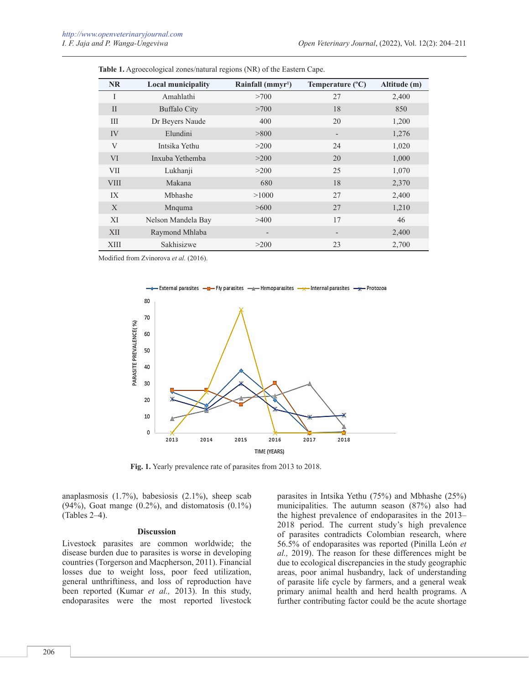| <b>NR</b>    | <b>Local municipality</b> | Rainfall $(mmvr1)$       | Temperature $(^{\circ}C)$ | Altitude (m) |
|--------------|---------------------------|--------------------------|---------------------------|--------------|
| I            | Amahlathi                 | >700                     | 27                        | 2,400        |
| $\mathbf{I}$ | <b>Buffalo City</b>       | >700                     | 18                        | 850          |
| Ш            | Dr Beyers Naude           | 400                      | 20                        | 1,200        |
| IV           | Elundini                  | > 800                    | $\overline{\phantom{a}}$  | 1,276        |
| $\mathbf{V}$ | Intsika Yethu             | >200                     | 24                        | 1,020        |
| <b>VI</b>    | Inxuba Yethemba           | >200                     | 20                        | 1,000        |
| <b>VII</b>   | Lukhanji                  | >200                     | 25                        | 1,070        |
| <b>VIII</b>  | Makana                    | 680                      | 18                        | 2,370        |
| IX           | <b>M</b> bhashe           | >1000                    | 27                        | 2,400        |
| X            | Mnquma                    | >600                     | 27                        | 1,210        |
| XI           | Nelson Mandela Bay        | >400                     | 17                        | 46           |
| XII          | Raymond Mhlaba            | $\overline{\phantom{a}}$ | -                         | 2,400        |
| XIII         | Sakhisizwe                | >200                     | 23                        | 2,700        |

**Table 1.** Agroecological zones/natural regions (NR) of the Eastern Cape.

Modified from Zvinorova *et al.* (2016).



**Fig. 1.** Yearly prevalence rate of parasites from 2013 to 2018.

anaplasmosis (1.7%), babesiosis (2.1%), sheep scab  $(94\%)$ , Goat mange  $(0.2\%)$ , and distomatosis  $(0.1\%)$ (Tables 2–4).

### **Discussion**

Livestock parasites are common worldwide; the disease burden due to parasites is worse in developing countries (Torgerson and Macpherson, 2011). Financial losses due to weight loss, poor feed utilization, general unthriftiness, and loss of reproduction have been reported (Kumar *et al.,* 2013). In this study, endoparasites were the most reported livestock parasites in Intsika Yethu (75%) and Mbhashe (25%) municipalities. The autumn season (87%) also had the highest prevalence of endoparasites in the 2013– 2018 period. The current study's high prevalence of parasites contradicts Colombian research, where 56.5% of endoparasites was reported (Pinilla León *et al.,* 2019). The reason for these differences might be due to ecological discrepancies in the study geographic areas, poor animal husbandry, lack of understanding of parasite life cycle by farmers, and a general weak primary animal health and herd health programs. A further contributing factor could be the acute shortage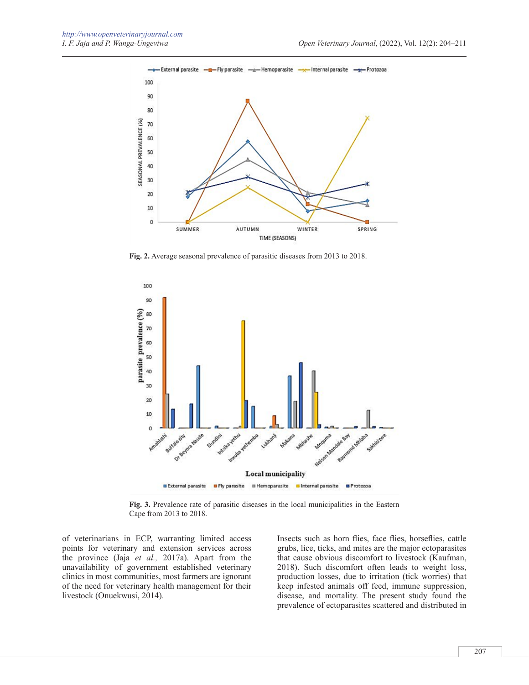

**Fig. 2.** Average seasonal prevalence of parasitic diseases from 2013 to 2018.



**Fig. 3.** Prevalence rate of parasitic diseases in the local municipalities in the Eastern Cape from 2013 to 2018.

of veterinarians in ECP, warranting limited access points for veterinary and extension services across the province (Jaja *et al.,* 2017a). Apart from the unavailability of government established veterinary clinics in most communities, most farmers are ignorant of the need for veterinary health management for their livestock (Onuekwusi, 2014).

Insects such as horn flies, face flies, horseflies, cattle grubs, lice, ticks, and mites are the major ectoparasites that cause obvious discomfort to livestock (Kaufman, 2018). Such discomfort often leads to weight loss, production losses, due to irritation (tick worries) that keep infested animals off feed, immune suppression, disease, and mortality. The present study found the prevalence of ectoparasites scattered and distributed in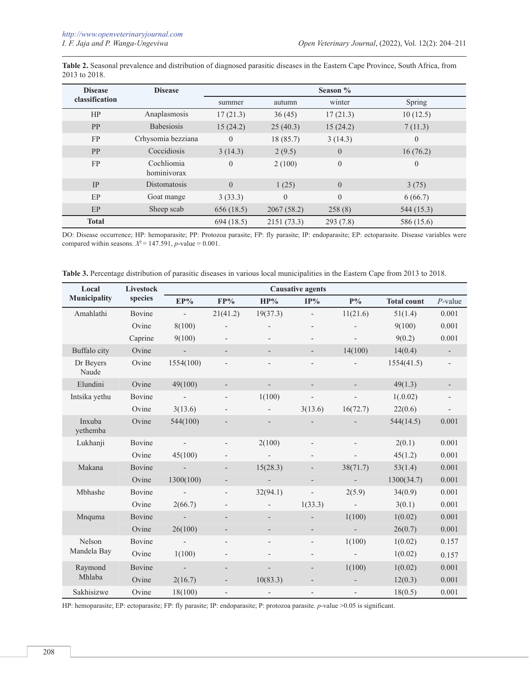**Table 2.** Seasonal prevalence and distribution of diagnosed parasitic diseases in the Eastern Cape Province, South Africa, from 2013 to 2018.

| <b>Disease</b> | <b>Disease</b>            | Season %       |             |              |            |  |
|----------------|---------------------------|----------------|-------------|--------------|------------|--|
| classification |                           | summer         | autumn      | winter       | Spring     |  |
| HP             | Anaplasmosis              | 17(21.3)       | 36(45)      | 17(21.3)     | 10(12.5)   |  |
| <b>PP</b>      | <b>Babesiosis</b>         | 15(24.2)       | 25(40.3)    | 15(24.2)     | 7(11.3)    |  |
| <b>FP</b>      | Crhysomia bezziana        | $\overline{0}$ | 18(85.7)    | 3(14.3)      | $\theta$   |  |
| PP             | Coccidiosis               | 3(14.3)        | 2(9.5)      | $\theta$     | 16(76.2)   |  |
| <b>FP</b>      | Cochliomia<br>hominivorax | $\theta$       | 2(100)      | $\mathbf{0}$ | $\theta$   |  |
| IP             | Distomatosis              | $\theta$       | 1(25)       | $\theta$     | 3(75)      |  |
| EP             | Goat mange                | 3(33.3)        | $\theta$    | $\mathbf{0}$ | 6(66.7)    |  |
| EP             | Sheep scab                | 656(18.5)      | 2067(58.2)  | 258(8)       | 544 (15.3) |  |
| <b>Total</b>   |                           | 694(18.5)      | 2151 (73.3) | 293(7.8)     | 586 (15.6) |  |

DO: Disease occurrence; HP: hemoparasite; PP: Protozoa parasite; FP: fly parasite; IP: endoparasite; EP: ectoparasite. Disease variables were compared within seasons.  $X^2 = 147.591$ , *p*-value = 0.001.

| Table 3. Percentage distribution of parasitic diseases in various local municipalities in the Eastern Cape from 2013 to 2018. |  |  |  |
|-------------------------------------------------------------------------------------------------------------------------------|--|--|--|
|-------------------------------------------------------------------------------------------------------------------------------|--|--|--|

| Local               | Livestock | <b>Causative agents</b>  |                              |                              |                          |                          |                    |                          |
|---------------------|-----------|--------------------------|------------------------------|------------------------------|--------------------------|--------------------------|--------------------|--------------------------|
| <b>Municipality</b> | species   | EP%                      | FP%                          | HP%                          | $IP\%$                   | $P\%$                    | <b>Total count</b> | $P$ -value               |
| Amahlathi           | Bovine    | $\Delta \sim 10^4$       | 21(41.2)                     | 19(37.3)                     | $\overline{\phantom{a}}$ | 11(21.6)                 | 51(1.4)            | 0.001                    |
|                     | Ovine     | 8(100)                   | $\overline{\phantom{m}}$     | $\qquad \qquad -$            | $\overline{\phantom{a}}$ |                          | 9(100)             | 0.001                    |
|                     | Caprine   | 9(100)                   | $\overline{\phantom{a}}$     |                              | $\overline{\phantom{a}}$ | $\overline{\phantom{0}}$ | 9(0.2)             | 0.001                    |
| Buffalo city        | Ovine     | $\overline{\phantom{a}}$ | $\overline{\phantom{m}}$     | $\overline{\phantom{0}}$     | $\overline{\phantom{a}}$ | 14(100)                  | 14(0.4)            | $\blacksquare$           |
| Dr Beyers<br>Naude  | Ovine     | 1554(100)                | $\overline{\phantom{m}}$     | $\overline{\phantom{a}}$     | $\overline{\phantom{a}}$ | $\overline{\phantom{a}}$ | 1554(41.5)         | $\overline{\phantom{a}}$ |
| Elundini            | Ovine     | 49(100)                  | $\overline{\phantom{m}}$     | $\overline{\phantom{a}}$     | $\overline{\phantom{a}}$ | -                        | 49(1.3)            |                          |
| Intsika yethu       | Bovine    | $\overline{\phantom{a}}$ | $\overline{\phantom{m}}$     | 1(100)                       | $\overline{\phantom{a}}$ | $\overline{\phantom{a}}$ | 1(.0.02)           | $\overline{\phantom{a}}$ |
|                     | Ovine     | 3(13.6)                  | $\overline{\phantom{0}}$     | $\blacksquare$               | 3(13.6)                  | 16(72.7)                 | 22(0.6)            | $\overline{\phantom{a}}$ |
| Inxuba<br>vethemba  | Ovine     | 544(100)                 | $\overline{\phantom{0}}$     |                              |                          |                          | 544(14.5)          | 0.001                    |
| Lukhanji            | Bovine    | $\overline{\phantom{a}}$ | $\overline{\phantom{a}}$     | 2(100)                       | $\overline{\phantom{a}}$ | $\overline{\phantom{a}}$ | 2(0.1)             | 0.001                    |
|                     | Ovine     | 45(100)                  | $\qquad \qquad \blacksquare$ | $\overline{\phantom{a}}$     | $\overline{\phantom{a}}$ |                          | 45(1.2)            | 0.001                    |
| Makana              | Bovine    | $\overline{\phantom{a}}$ | $\overline{\phantom{0}}$     | 15(28.3)                     | $\overline{\phantom{a}}$ | 38(71.7)                 | 53(1.4)            | 0.001                    |
|                     | Ovine     | 1300(100)                | -                            | $\frac{1}{2}$                | $\frac{1}{2}$            | $\overline{\phantom{a}}$ | 1300(34.7)         | 0.001                    |
| Mbhashe             | Bovine    | $\overline{\phantom{a}}$ | $\overline{\phantom{a}}$     | 32(94.1)                     | $\blacksquare$           | 2(5.9)                   | 34(0.9)            | 0.001                    |
|                     | Ovine     | 2(66.7)                  | $\overline{\phantom{m}}$     | $\overline{\phantom{a}}$     | 1(33.3)                  | $\overline{\phantom{a}}$ | 3(0.1)             | 0.001                    |
| Mnquma              | Bovine    | $\overline{\phantom{a}}$ | $\overline{\phantom{0}}$     | $\qquad \qquad \blacksquare$ | $\frac{1}{2}$            | 1(100)                   | 1(0.02)            | 0.001                    |
|                     | Ovine     | 26(100)                  | $\overline{\phantom{m}}$     | $\overline{\phantom{a}}$     | $\overline{\phantom{a}}$ | $\blacksquare$           | 26(0.7)            | 0.001                    |
| Nelson              | Bovine    | $\overline{\phantom{a}}$ | $\overline{\phantom{m}}$     | $\overline{\phantom{a}}$     | $\overline{\phantom{a}}$ | 1(100)                   | 1(0.02)            | 0.157                    |
| Mandela Bay         | Ovine     | 1(100)                   | $\overline{\phantom{a}}$     | $\overline{\phantom{a}}$     | $\overline{\phantom{a}}$ | $\overline{\phantom{a}}$ | 1(0.02)            | 0.157                    |
| Raymond             | Bovine    | $\overline{\phantom{a}}$ | $\qquad \qquad \blacksquare$ | $\overline{\phantom{0}}$     | $\overline{\phantom{a}}$ | 1(100)                   | 1(0.02)            | 0.001                    |
| Mhlaba              | Ovine     | 2(16.7)                  | $\overline{\phantom{a}}$     | 10(83.3)                     | $\overline{\phantom{a}}$ | $\overline{\phantom{a}}$ | 12(0.3)            | 0.001                    |
| Sakhisizwe          | Ovine     | 18(100)                  | $\overline{\phantom{0}}$     | $\overline{\phantom{a}}$     | $\overline{\phantom{a}}$ | $\overline{\phantom{a}}$ | 18(0.5)            | 0.001                    |

HP: hemoparasite; EP: ectoparasite; FP: fly parasite; IP: endoparasite; P: protozoa parasite. *p*-value >0.05 is significant.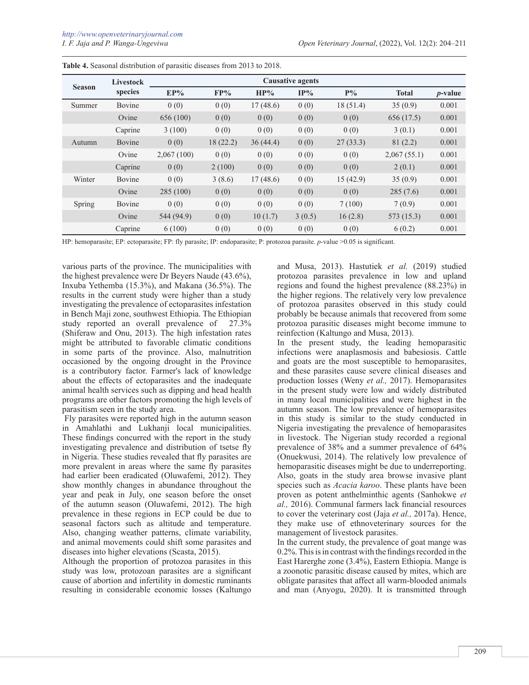| <b>Season</b> | Livestock<br>species | <b>Causative agents</b> |          |          |        |          |              |            |
|---------------|----------------------|-------------------------|----------|----------|--------|----------|--------------|------------|
|               |                      | EP%                     | FP%      | HP%      | $IP\%$ | $P\%$    | <b>Total</b> | $p$ -value |
| Summer        | Bovine               | 0(0)                    | 0(0)     | 17(48.6) | 0(0)   | 18(51.4) | 35(0.9)      | 0.001      |
|               | Ovine                | 656 (100)               | 0(0)     | 0(0)     | 0(0)   | 0(0)     | 656 (17.5)   | 0.001      |
|               | Caprine              | 3(100)                  | 0(0)     | 0(0)     | 0(0)   | 0(0)     | 3(0.1)       | 0.001      |
| Autumn        | Bovine               | 0(0)                    | 18(22.2) | 36(44.4) | 0(0)   | 27(33.3) | 81(2.2)      | 0.001      |
|               | Ovine                | 2,067(100)              | 0(0)     | 0(0)     | 0(0)   | 0(0)     | 2,067(55.1)  | 0.001      |
|               | Caprine              | 0(0)                    | 2(100)   | 0(0)     | 0(0)   | 0(0)     | 2(0.1)       | 0.001      |
| Winter        | Bovine               | 0(0)                    | 3(8.6)   | 17(48.6) | 0(0)   | 15(42.9) | 35(0.9)      | 0.001      |
|               | Ovine                | 285 (100)               | 0(0)     | 0(0)     | 0(0)   | 0(0)     | 285(7.6)     | 0.001      |
| Spring        | Bovine               | 0(0)                    | 0(0)     | 0(0)     | 0(0)   | 7(100)   | 7(0.9)       | 0.001      |
|               | Ovine                | 544 (94.9)              | 0(0)     | 10(1.7)  | 3(0.5) | 16(2.8)  | 573 (15.3)   | 0.001      |
|               | Caprine              | 6(100)                  | 0(0)     | 0(0)     | 0(0)   | 0(0)     | 6(0.2)       | 0.001      |

**Table 4.** Seasonal distribution of parasitic diseases from 2013 to 2018.

HP: hemoparasite; EP: ectoparasite; FP: fly parasite; IP: endoparasite; P: protozoa parasite. *p*-value >0.05 is significant.

various parts of the province. The municipalities with the highest prevalence were Dr Beyers Naude (43.6%), Inxuba Yethemba (15.3%), and Makana (36.5%). The results in the current study were higher than a study investigating the prevalence of ectoparasites infestation in Bench Maji zone, southwest Ethiopia. The Ethiopian study reported an overall prevalence of 27.3% (Shiferaw and Onu, 2013). The high infestation rates might be attributed to favorable climatic conditions in some parts of the province. Also, malnutrition occasioned by the ongoing drought in the Province is a contributory factor. Farmer's lack of knowledge about the effects of ectoparasites and the inadequate animal health services such as dipping and head health programs are other factors promoting the high levels of parasitism seen in the study area.

 Fly parasites were reported high in the autumn season in Amahlathi and Lukhanji local municipalities. These findings concurred with the report in the study investigating prevalence and distribution of tsetse fly in Nigeria. These studies revealed that fly parasites are more prevalent in areas where the same fly parasites had earlier been eradicated (Oluwafemi, 2012). They show monthly changes in abundance throughout the year and peak in July, one season before the onset of the autumn season (Oluwafemi, 2012). The high prevalence in these regions in ECP could be due to seasonal factors such as altitude and temperature. Also, changing weather patterns, climate variability, and animal movements could shift some parasites and diseases into higher elevations (Scasta, 2015).

Although the proportion of protozoa parasites in this study was low, protozoan parasites are a significant cause of abortion and infertility in domestic ruminants resulting in considerable economic losses (Kaltungo and Musa, 2013). Hastutiek *et al.* (2019) studied protozoa parasites prevalence in low and upland regions and found the highest prevalence (88.23%) in the higher regions. The relatively very low prevalence of protozoa parasites observed in this study could probably be because animals that recovered from some protozoa parasitic diseases might become immune to reinfection (Kaltungo and Musa, 2013).

In the present study, the leading hemoparasitic infections were anaplasmosis and babesiosis. Cattle and goats are the most susceptible to hemoparasites, and these parasites cause severe clinical diseases and production losses (Weny *et al.,* 2017). Hemoparasites in the present study were low and widely distributed in many local municipalities and were highest in the autumn season. The low prevalence of hemoparasites in this study is similar to the study conducted in Nigeria investigating the prevalence of hemoparasites in livestock. The Nigerian study recorded a regional prevalence of 38% and a summer prevalence of 64% (Onuekwusi, 2014). The relatively low prevalence of hemoparasitic diseases might be due to underreporting. Also, goats in the study area browse invasive plant species such as *Acacia karoo*. These plants have been proven as potent anthelminthic agents (Sanhokwe *et al.,* 2016). Communal farmers lack financial resources to cover the veterinary cost (Jaja *et al.,* 2017a). Hence, they make use of ethnoveterinary sources for the management of livestock parasites.

In the current study, the prevalence of goat mange was 0.2%. This is in contrast with the findings recorded in the East Harerghe zone (3.4%), Eastern Ethiopia. Mange is a zoonotic parasitic disease caused by mites, which are obligate parasites that affect all warm-blooded animals and man (Anyogu, 2020). It is transmitted through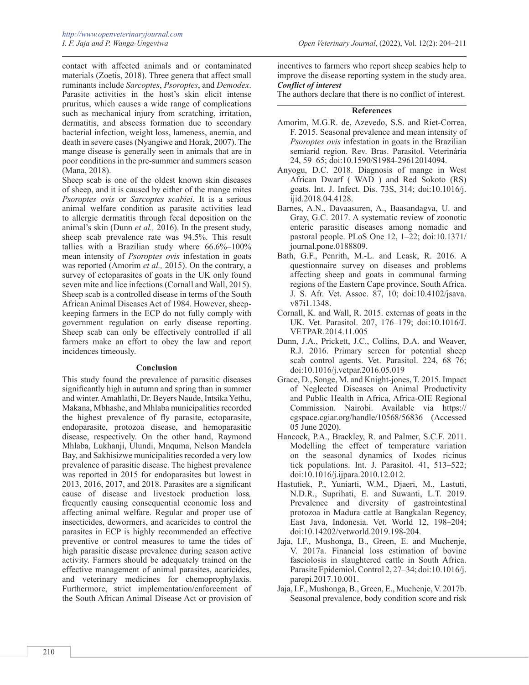contact with affected animals and or contaminated materials (Zoetis, 2018). Three genera that affect small ruminants include *Sarcoptes*, *Psoroptes*, and *Demodex*. Parasite activities in the host's skin elicit intense pruritus, which causes a wide range of complications such as mechanical injury from scratching, irritation, dermatitis, and abscess formation due to secondary bacterial infection, weight loss, lameness, anemia, and death in severe cases (Nyangiwe and Horak, 2007). The mange disease is generally seen in animals that are in poor conditions in the pre-summer and summers season (Mana, 2018).

Sheep scab is one of the oldest known skin diseases of sheep, and it is caused by either of the mange mites *Psoroptes ovis* or *Sarcoptes scabiei*. It is a serious animal welfare condition as parasite activities lead to allergic dermatitis through fecal deposition on the animal's skin (Dunn *et al.,* 2016). In the present study, sheep scab prevalence rate was 94.5%. This result tallies with a Brazilian study where 66.6%–100% mean intensity of *Psoroptes ovis* infestation in goats was reported (Amorim *et al.,* 2015). On the contrary, a survey of ectoparasites of goats in the UK only found seven mite and lice infections (Cornall and Wall, 2015). Sheep scab is a controlled disease in terms of the South African Animal Diseases Act of 1984. However, sheepkeeping farmers in the ECP do not fully comply with government regulation on early disease reporting. Sheep scab can only be effectively controlled if all farmers make an effort to obey the law and report incidences timeously.

# **Conclusion**

This study found the prevalence of parasitic diseases significantly high in autumn and spring than in summer and winter. Amahlathi, Dr. Beyers Naude, Intsika Yethu, Makana, Mbhashe, and Mhlaba municipalities recorded the highest prevalence of fly parasite, ectoparasite, endoparasite, protozoa disease, and hemoparasitic disease, respectively. On the other hand, Raymond Mhlaba, Lukhanji, Ulundi, Mnquma, Nelson Mandela Bay, and Sakhisizwe municipalities recorded a very low prevalence of parasitic disease. The highest prevalence was reported in 2015 for endoparasites but lowest in 2013, 2016, 2017, and 2018. Parasites are a significant cause of disease and livestock production loss*,* frequently causing consequential economic loss and affecting animal welfare. Regular and proper use of insecticides, dewormers, and acaricides to control the parasites in ECP is highly recommended an effective preventive or control measures to tame the tides of high parasitic disease prevalence during season active activity. Farmers should be adequately trained on the effective management of animal parasites, acaricides, and veterinary medicines for chemoprophylaxis. Furthermore, strict implementation/enforcement of the South African Animal Disease Act or provision of

incentives to farmers who report sheep scabies help to improve the disease reporting system in the study area. *Conflict of interest*

The authors declare that there is no conflict of interest.

### **References**

- Amorim, M.G.R. de, Azevedo, S.S. and Riet-Correa, F. 2015. Seasonal prevalence and mean intensity of *Psoroptes ovis* infestation in goats in the Brazilian semiarid region. Rev. Bras. Parasitol. Veterinária 24, 59–65; doi:10.1590/S1984-29612014094.
- Anyogu, D.C. 2018. Diagnosis of mange in West African Dwarf ( WAD ) and Red Sokoto (RS) goats. Int. J. Infect. Dis. 73S, 314; doi:10.1016/j. ijid.2018.04.4128.
- Barnes, A.N., Davaasuren, A., Baasandagva, U. and Gray, G.C. 2017. A systematic review of zoonotic enteric parasitic diseases among nomadic and pastoral people. PLoS One 12, 1–22; doi:10.1371/ journal.pone.0188809.
- Bath, G.F., Penrith, M.-L. and Leask, R. 2016. A questionnaire survey on diseases and problems affecting sheep and goats in communal farming regions of the Eastern Cape province, South Africa. J. S. Afr. Vet. Assoc. 87, 10; doi:10.4102/jsava. v87i1.1348.
- Cornall, K. and Wall, R. 2015. externas of goats in the UK. Vet. Parasitol. 207, 176–179; doi:10.1016/J. VETPAR.2014.11.005
- Dunn, J.A., Prickett, J.C., Collins, D.A. and Weaver, R.J. 2016. Primary screen for potential sheep scab control agents. Vet. Parasitol. 224, 68–76; doi:10.1016/j.vetpar.2016.05.019
- Grace, D., Songe, M. and Knight-jones, T. 2015. Impact of Neglected Diseases on Animal Productivity and Public Health in Africa, Africa-OIE Regional Commission. Nairobi. Available via https:// cgspace.cgiar.org/handle/10568/56836 (Accessed 05 June 2020).
- Hancock, P.A., Brackley, R. and Palmer, S.C.F. 2011. Modelling the effect of temperature variation on the seasonal dynamics of Ixodes ricinus tick populations. Int. J. Parasitol. 41, 513–522; doi:10.1016/j.ijpara.2010.12.012.
- Hastutiek, P., Yuniarti, W.M., Djaeri, M., Lastuti, N.D.R., Suprihati, E. and Suwanti, L.T. 2019. Prevalence and diversity of gastrointestinal protozoa in Madura cattle at Bangkalan Regency, East Java, Indonesia. Vet. World 12, 198–204; doi:10.14202/vetworld.2019.198-204.
- Jaja, I.F., Mushonga, B., Green, E. and Muchenje, V. 2017a. Financial loss estimation of bovine fasciolosis in slaughtered cattle in South Africa. Parasite Epidemiol. Control 2, 27–34; doi:10.1016/j. parepi.2017.10.001.
- Jaja, I.F., Mushonga, B., Green, E., Muchenje, V. 2017b. Seasonal prevalence, body condition score and risk